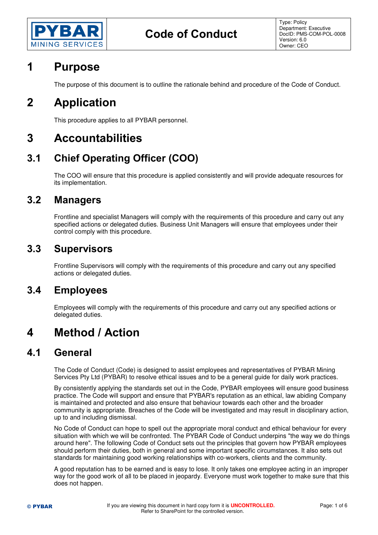

# **1 Purpose**

The purpose of this document is to outline the rationale behind and procedure of the Code of Conduct.

# **2 Application**

This procedure applies to all PYBAR personnel.

# **3 Accountabilities**

# **3.1 Chief Operating Officer (COO)**

The COO will ensure that this procedure is applied consistently and will provide adequate resources for its implementation.

### **3.2 Managers**

Frontline and specialist Managers will comply with the requirements of this procedure and carry out any specified actions or delegated duties. Business Unit Managers will ensure that employees under their control comply with this procedure.

## **3.3 Supervisors**

Frontline Supervisors will comply with the requirements of this procedure and carry out any specified actions or delegated duties.

## **3.4 Employees**

Employees will comply with the requirements of this procedure and carry out any specified actions or delegated duties.

# **4 Method / Action**

## **4.1 General**

The Code of Conduct (Code) is designed to assist employees and representatives of PYBAR Mining Services Pty Ltd (PYBAR) to resolve ethical issues and to be a general guide for daily work practices.

By consistently applying the standards set out in the Code, PYBAR employees will ensure good business practice. The Code will support and ensure that PYBAR's reputation as an ethical, law abiding Company is maintained and protected and also ensure that behaviour towards each other and the broader community is appropriate. Breaches of the Code will be investigated and may result in disciplinary action, up to and including dismissal.

No Code of Conduct can hope to spell out the appropriate moral conduct and ethical behaviour for every situation with which we will be confronted. The PYBAR Code of Conduct underpins "the way we do things around here". The following Code of Conduct sets out the principles that govern how PYBAR employees should perform their duties, both in general and some important specific circumstances. It also sets out standards for maintaining good working relationships with co-workers, clients and the community.

A good reputation has to be earned and is easy to lose. It only takes one employee acting in an improper way for the good work of all to be placed in jeopardy. Everyone must work together to make sure that this does not happen.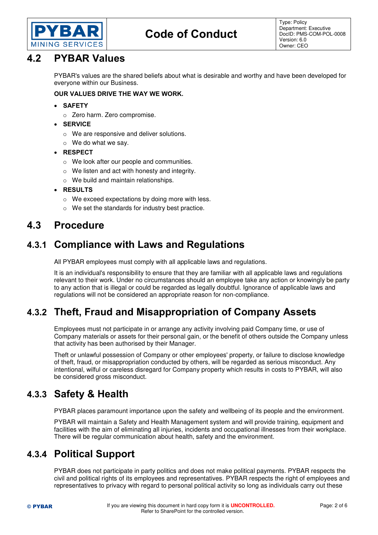

# **Code of Conduct**

Type: Policy Department: Executive DocID: PMS-COM-POL-0008 Version: 6.0 Owner: CEO

## **4.2 PYBAR Values**

PYBAR's values are the shared beliefs about what is desirable and worthy and have been developed for everyone within our Business.

#### **OUR VALUES DRIVE THE WAY WE WORK.**

- **SAFETY** 
	- o Zero harm. Zero compromise.
- **SERVICE** 
	- o We are responsive and deliver solutions.
	- o We do what we say.
- **RESPECT** 
	- o We look after our people and communities.
	- o We listen and act with honesty and integrity.
	- o We build and maintain relationships.
- **RESULTS** 
	- o We exceed expectations by doing more with less.
	- o We set the standards for industry best practice.

## **4.3 Procedure**

## **4.3.1 Compliance with Laws and Regulations**

All PYBAR employees must comply with all applicable laws and regulations.

It is an individual's responsibility to ensure that they are familiar with all applicable laws and regulations relevant to their work. Under no circumstances should an employee take any action or knowingly be party to any action that is illegal or could be regarded as legally doubtful. Ignorance of applicable laws and regulations will not be considered an appropriate reason for non-compliance.

## **4.3.2 Theft, Fraud and Misappropriation of Company Assets**

Employees must not participate in or arrange any activity involving paid Company time, or use of Company materials or assets for their personal gain, or the benefit of others outside the Company unless that activity has been authorised by their Manager.

Theft or unlawful possession of Company or other employees' property, or failure to disclose knowledge of theft, fraud, or misappropriation conducted by others, will be regarded as serious misconduct. Any intentional, wilful or careless disregard for Company property which results in costs to PYBAR, will also be considered gross misconduct.

## **4.3.3 Safety & Health**

PYBAR places paramount importance upon the safety and wellbeing of its people and the environment.

PYBAR will maintain a Safety and Health Management system and will provide training, equipment and facilities with the aim of eliminating all injuries, incidents and occupational illnesses from their workplace. There will be regular communication about health, safety and the environment.

## **4.3.4 Political Support**

PYBAR does not participate in party politics and does not make political payments. PYBAR respects the civil and political rights of its employees and representatives. PYBAR respects the right of employees and representatives to privacy with regard to personal political activity so long as individuals carry out these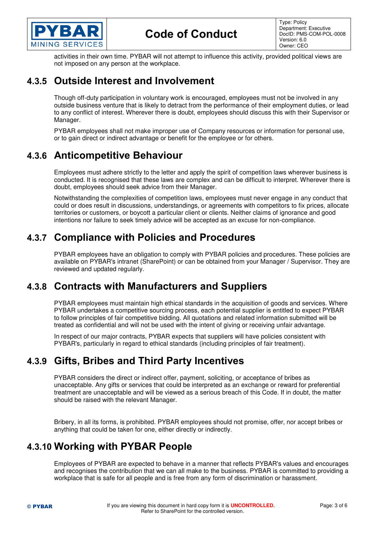

Type: Policy Department: Executive DocID: PMS-COM-POL-0008 Version: 6.0 Owner: CEO

activities in their own time. PYBAR will not attempt to influence this activity, provided political views are not imposed on any person at the workplace.

## **4.3.5 Outside Interest and Involvement**

Though off-duty participation in voluntary work is encouraged, employees must not be involved in any outside business venture that is likely to detract from the performance of their employment duties, or lead to any conflict of interest. Wherever there is doubt, employees should discuss this with their Supervisor or Manager.

PYBAR employees shall not make improper use of Company resources or information for personal use, or to gain direct or indirect advantage or benefit for the employee or for others.

## **4.3.6 Anticompetitive Behaviour**

Employees must adhere strictly to the letter and apply the spirit of competition laws wherever business is conducted. It is recognised that these laws are complex and can be difficult to interpret. Wherever there is doubt, employees should seek advice from their Manager.

Notwithstanding the complexities of competition laws, employees must never engage in any conduct that could or does result in discussions, understandings, or agreements with competitors to fix prices, allocate territories or customers, or boycott a particular client or clients. Neither claims of ignorance and good intentions nor failure to seek timely advice will be accepted as an excuse for non-compliance.

## **4.3.7 Compliance with Policies and Procedures**

PYBAR employees have an obligation to comply with PYBAR policies and procedures. These policies are available on PYBAR's intranet (SharePoint) or can be obtained from your Manager / Supervisor. They are reviewed and updated regularly.

## **4.3.8 Contracts with Manufacturers and Suppliers**

PYBAR employees must maintain high ethical standards in the acquisition of goods and services. Where PYBAR undertakes a competitive sourcing process, each potential supplier is entitled to expect PYBAR to follow principles of fair competitive bidding. All quotations and related information submitted will be treated as confidential and will not be used with the intent of giving or receiving unfair advantage.

In respect of our major contracts, PYBAR expects that suppliers will have policies consistent with PYBAR's, particularly in regard to ethical standards (including principles of fair treatment).

## **4.3.9 Gifts, Bribes and Third Party Incentives**

PYBAR considers the direct or indirect offer, payment, soliciting, or acceptance of bribes as unacceptable. Any gifts or services that could be interpreted as an exchange or reward for preferential treatment are unacceptable and will be viewed as a serious breach of this Code. If in doubt, the matter should be raised with the relevant Manager.

Bribery, in all its forms, is prohibited. PYBAR employees should not promise, offer, nor accept bribes or anything that could be taken for one, either directly or indirectly.

## **4.3.10 Working with PYBAR People**

Employees of PYBAR are expected to behave in a manner that reflects PYBAR's values and encourages and recognises the contribution that we can all make to the business. PYBAR is committed to providing a workplace that is safe for all people and is free from any form of discrimination or harassment.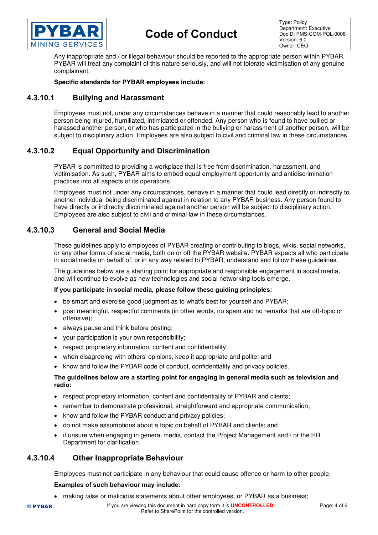

# **Code of Conduct**

Type: Policy Department: Executive DocID: PMS-COM-POL-0008 Version: 6.0 Owner: CEO

Any inappropriate and / or illegal behaviour should be reported to the appropriate person within PYBAR. PYBAR will treat any complaint of this nature seriously, and will not tolerate victimisation of any genuine complainant.

#### **Specific standards for PYBAR employees include:**

#### **4.3.10.1 Bullying and Harassment**

Employees must not, under any circumstances behave in a manner that could reasonably lead to another person being injured, humiliated, intimidated or offended. Any person who is found to have bullied or harassed another person, or who has participated in the bullying or harassment of another person, will be subject to disciplinary action. Employees are also subject to civil and criminal law in these circumstances.

### **4.3.10.2 Equal Opportunity and Discrimination**

PYBAR is committed to providing a workplace that is free from discrimination, harassment, and victimisation. As such, PYBAR aims to embed equal employment opportunity and antidiscrimination practices into all aspects of its operations.

Employees must not under any circumstances, behave in a manner that could lead directly or indirectly to another individual being discriminated against in relation to any PYBAR business. Any person found to have directly or indirectly discriminated against another person will be subject to disciplinary action. Employees are also subject to civil and criminal law in these circumstances.

#### **4.3.10.3 General and Social Media**

These guidelines apply to employees of PYBAR creating or contributing to blogs, wikis, social networks, or any other forms of social media, both on or off the PYBAR website. PYBAR expects all who participate in social media on behalf of, or in any way related to PYBAR, understand and follow these guidelines.

The guidelines below are a starting point for appropriate and responsible engagement in social media, and will continue to evolve as new technologies and social networking tools emerge.

#### **If you participate in social media, please follow these guiding principles:**

- be smart and exercise good judgment as to what's best for yourself and PYBAR;
- post meaningful, respectful comments (in other words, no spam and no remarks that are off-topic or offensive);
- always pause and think before posting;
- your participation is your own responsibility;
- respect proprietary information, content and confidentiality;
- when disagreeing with others' opinions, keep it appropriate and polite; and
- know and follow the PYBAR code of conduct, confidentiality and privacy policies.

#### **The guidelines below are a starting point for engaging in general media such as television and radio:**

- respect proprietary information, content and confidentiality of PYBAR and clients;
- remember to demonstrate professional, straightforward and appropriate communication;
- know and follow the PYBAR conduct and privacy policies;
- do not make assumptions about a topic on behalf of PYBAR and clients; and
- if unsure when engaging in general media, contact the Project Management and / or the HR Department for clarification.

#### **4.3.10.4 Other Inappropriate Behaviour**

Employees must not participate in any behaviour that could cause offence or harm to other people.

#### **Examples of such behaviour may include:**

making false or malicious statements about other employees, or PYBAR as a business;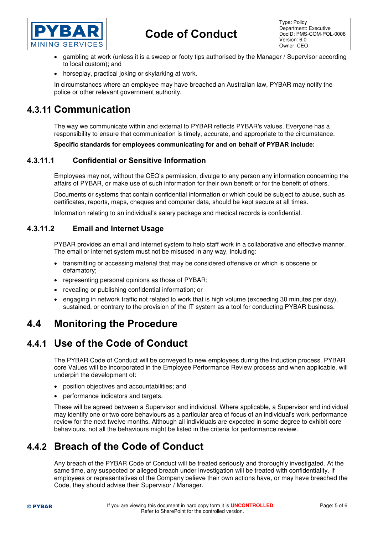

- gambling at work (unless it is a sweep or footy tips authorised by the Manager / Supervisor according to local custom); and
- horseplay, practical joking or skylarking at work.

In circumstances where an employee may have breached an Australian law, PYBAR may notify the police or other relevant government authority.

## **4.3.11 Communication**

The way we communicate within and external to PYBAR reflects PYBAR's values. Everyone has a responsibility to ensure that communication is timely, accurate, and appropriate to the circumstance.

**Specific standards for employees communicating for and on behalf of PYBAR include:** 

### **4.3.11.1 Confidential or Sensitive Information**

Employees may not, without the CEO's permission, divulge to any person any information concerning the affairs of PYBAR, or make use of such information for their own benefit or for the benefit of others.

Documents or systems that contain confidential information or which could be subject to abuse, such as certificates, reports, maps, cheques and computer data, should be kept secure at all times.

Information relating to an individual's salary package and medical records is confidential.

### **4.3.11.2 Email and Internet Usage**

PYBAR provides an email and internet system to help staff work in a collaborative and effective manner. The email or internet system must not be misused in any way, including:

- transmitting or accessing material that may be considered offensive or which is obscene or defamatory;
- representing personal opinions as those of PYBAR;
- revealing or publishing confidential information; or
- engaging in network traffic not related to work that is high volume (exceeding 30 minutes per day), sustained, or contrary to the provision of the IT system as a tool for conducting PYBAR business.

## **4.4 Monitoring the Procedure**

## **4.4.1 Use of the Code of Conduct**

The PYBAR Code of Conduct will be conveyed to new employees during the Induction process. PYBAR core Values will be incorporated in the Employee Performance Review process and when applicable, will underpin the development of:

- position objectives and accountabilities; and
- performance indicators and targets.

These will be agreed between a Supervisor and individual. Where applicable, a Supervisor and individual may identify one or two core behaviours as a particular area of focus of an individual's work performance review for the next twelve months. Although all individuals are expected in some degree to exhibit core behaviours, not all the behaviours might be listed in the criteria for performance review.

## **4.4.2 Breach of the Code of Conduct**

Any breach of the PYBAR Code of Conduct will be treated seriously and thoroughly investigated. At the same time, any suspected or alleged breach under investigation will be treated with confidentiality. If employees or representatives of the Company believe their own actions have, or may have breached the Code, they should advise their Supervisor / Manager.